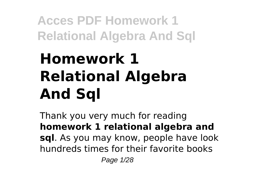# **Homework 1 Relational Algebra And Sql**

Thank you very much for reading **homework 1 relational algebra and sql**. As you may know, people have look hundreds times for their favorite books Page 1/28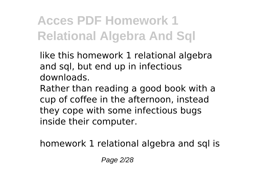like this homework 1 relational algebra and sql, but end up in infectious downloads.

Rather than reading a good book with a cup of coffee in the afternoon, instead they cope with some infectious bugs inside their computer.

homework 1 relational algebra and sql is

Page 2/28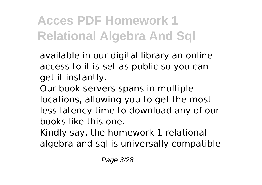available in our digital library an online access to it is set as public so you can get it instantly.

Our book servers spans in multiple locations, allowing you to get the most less latency time to download any of our books like this one.

Kindly say, the homework 1 relational algebra and sql is universally compatible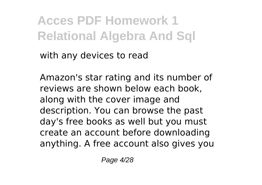with any devices to read

Amazon's star rating and its number of reviews are shown below each book, along with the cover image and description. You can browse the past day's free books as well but you must create an account before downloading anything. A free account also gives you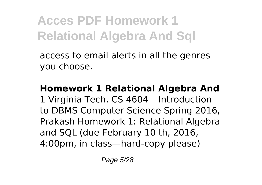access to email alerts in all the genres you choose.

**Homework 1 Relational Algebra And** 1 Virginia Tech. CS 4604 – Introduction to DBMS Computer Science Spring 2016, Prakash Homework 1: Relational Algebra and SQL (due February 10 th, 2016, 4:00pm, in class—hard-copy please)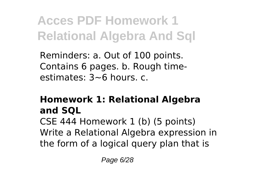Reminders: a. Out of 100 points. Contains 6 pages. b. Rough timeestimates: 3~6 hours. c.

### **Homework 1: Relational Algebra and SQL**

CSE 444 Homework 1 (b) (5 points) Write a Relational Algebra expression in the form of a logical query plan that is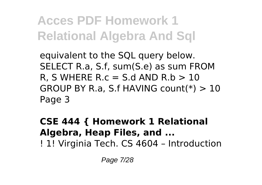equivalent to the SQL query below. SELECT R.a, S.f, sum(S.e) as sum FROM R. S WHERE R.c  $=$  S.d AND R.b  $>10$ GROUP BY R.a, S.f HAVING count(\*) > 10 Page 3

**CSE 444 { Homework 1 Relational Algebra, Heap Files, and ...** ! 1! Virginia Tech. CS 4604 – Introduction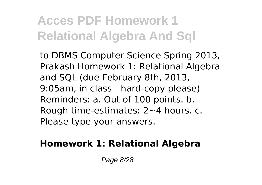to DBMS Computer Science Spring 2013, Prakash Homework 1: Relational Algebra and SQL (due February 8th, 2013, 9:05am, in class—hard-copy please) Reminders: a. Out of 100 points. b. Rough time-estimates: 2~4 hours. c. Please type your answers.

### **Homework 1: Relational Algebra**

Page 8/28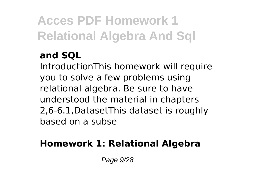### **and SQL**

IntroductionThis homework will require you to solve a few problems using relational algebra. Be sure to have understood the material in chapters 2,6-6.1,DatasetThis dataset is roughly based on a subse

### **Homework 1: Relational Algebra**

Page 9/28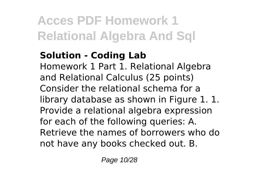### **Solution - Coding Lab**

Homework 1 Part 1. Relational Algebra and Relational Calculus (25 points) Consider the relational schema for a library database as shown in Figure 1. 1. Provide a relational algebra expression for each of the following queries: A. Retrieve the names of borrowers who do not have any books checked out. B.

Page 10/28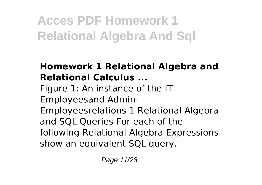### **Homework 1 Relational Algebra and Relational Calculus ...**

Figure 1: An instance of the IT-Employeesand Admin-Employeesrelations 1 Relational Algebra and SQL Queries For each of the following Relational Algebra Expressions show an equivalent SQL query.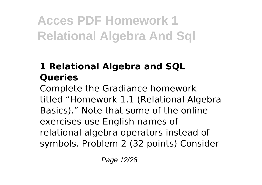### **1 Relational Algebra and SQL Queries**

Complete the Gradiance homework titled "Homework 1.1 (Relational Algebra Basics)." Note that some of the online exercises use English names of relational algebra operators instead of symbols. Problem 2 (32 points) Consider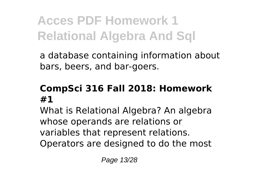a database containing information about bars, beers, and bar-goers.

#### **CompSci 316 Fall 2018: Homework #1**

What is Relational Algebra? An algebra whose operands are relations or variables that represent relations. Operators are designed to do the most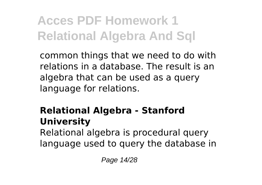common things that we need to do with relations in a database. The result is an algebra that can be used as a query language for relations.

### **Relational Algebra - Stanford University**

Relational algebra is procedural query language used to query the database in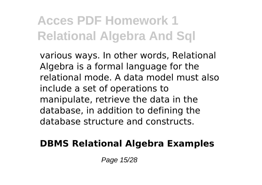various ways. In other words, Relational Algebra is a formal language for the relational mode. A data model must also include a set of operations to manipulate, retrieve the data in the database, in addition to defining the database structure and constructs.

#### **DBMS Relational Algebra Examples**

Page 15/28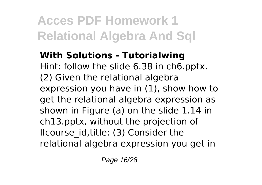**With Solutions - Tutorialwing** Hint: follow the slide 6.38 in ch6.pptx. (2) Given the relational algebra expression you have in (1), show how to get the relational algebra expression as shown in Figure (a) on the slide 1.14 in ch13.pptx, without the projection of IIcourse id, title: (3) Consider the relational algebra expression you get in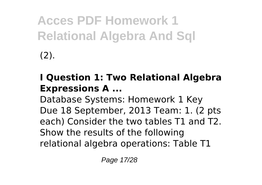### **I Question 1: Two Relational Algebra Expressions A ...**

Database Systems: Homework 1 Key Due 18 September, 2013 Team: 1. (2 pts each) Consider the two tables T1 and T2. Show the results of the following relational algebra operations: Table T1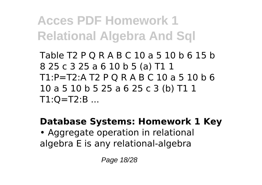Table T2 P Q R A B C 10 a 5 10 b 6 15 b 8 25 c 3 25 a 6 10 b 5 (a) T1 1 T1:P=T2:A T2 P Q R A B C 10 a 5 10 b 6 10 a 5 10 b 5 25 a 6 25 c 3 (b) T1 1  $T1:O = T2:B$  ...

#### **Database Systems: Homework 1 Key**

• Aggregate operation in relational algebra E is any relational-algebra

Page 18/28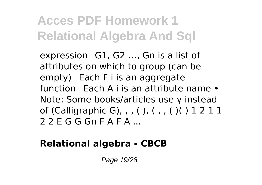expression –G1, G2 …, Gn is a list of attributes on which to group (can be empty) –Each F i is an aggregate function –Each A i is an attribute name • Note: Some books/articles use γ instead of (Calligraphic G), , , ( ), ( , , ( )( ) 1 2 1 1 2 2 E G G Gn F A F A ...

### **Relational algebra - CBCB**

Page 19/28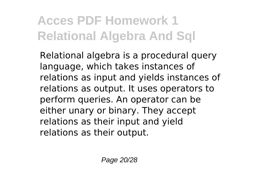Relational algebra is a procedural query language, which takes instances of relations as input and yields instances of relations as output. It uses operators to perform queries. An operator can be either unary or binary. They accept relations as their input and yield relations as their output.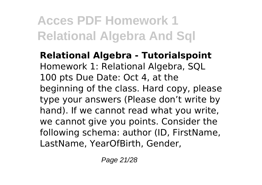**Relational Algebra - Tutorialspoint** Homework 1: Relational Algebra, SQL 100 pts Due Date: Oct 4, at the beginning of the class. Hard copy, please type your answers (Please don't write by hand). If we cannot read what you write, we cannot give you points. Consider the following schema: author (ID, FirstName, LastName, YearOfBirth, Gender,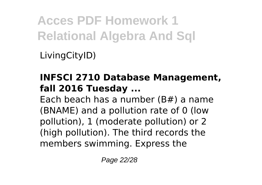LivingCityID)

#### **INFSCI 2710 Database Management, fall 2016 Tuesday ...**

Each beach has a number (B#) a name (BNAME) and a pollution rate of 0 (low pollution), 1 (moderate pollution) or 2 (high pollution). The third records the members swimming. Express the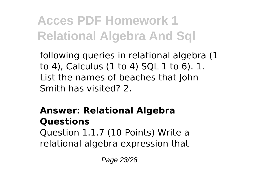following queries in relational algebra (1 to 4), Calculus (1 to 4) SQL 1 to 6). 1. List the names of beaches that John Smith has visited? 2.

### **Answer: Relational Algebra Questions**

Question 1.1.7 (10 Points) Write a relational algebra expression that

Page 23/28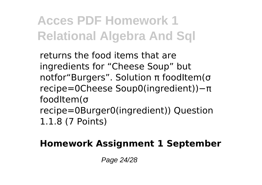returns the food items that are ingredients for "Cheese Soup" but notfor"Burgers". Solution π foodItem(σ recipe=0Cheese Soup0(ingredient))−π foodItem(σ recipe=0Burger0(ingredient)) Question 1.1.8 (7 Points)

### **Homework Assignment 1 September**

Page 24/28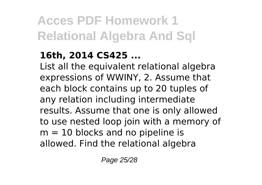### **16th, 2014 CS425 ...**

List all the equivalent relational algebra expressions of WWINY, 2. Assume that each block contains up to 20 tuples of any relation including intermediate results. Assume that one is only allowed to use nested loop join with a memory of  $m = 10$  blocks and no pipeline is allowed. Find the relational algebra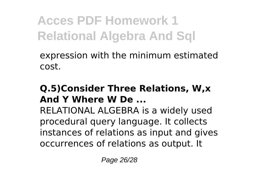expression with the minimum estimated cost.

#### **Q.5)Consider Three Relations, W,x And Y Where W De ...**

RELATIONAL ALGEBRA is a widely used procedural query language. It collects instances of relations as input and gives occurrences of relations as output. It

Page 26/28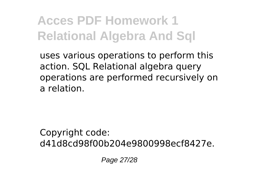uses various operations to perform this action. SQL Relational algebra query operations are performed recursively on a relation.

Copyright code: d41d8cd98f00b204e9800998ecf8427e.

Page 27/28